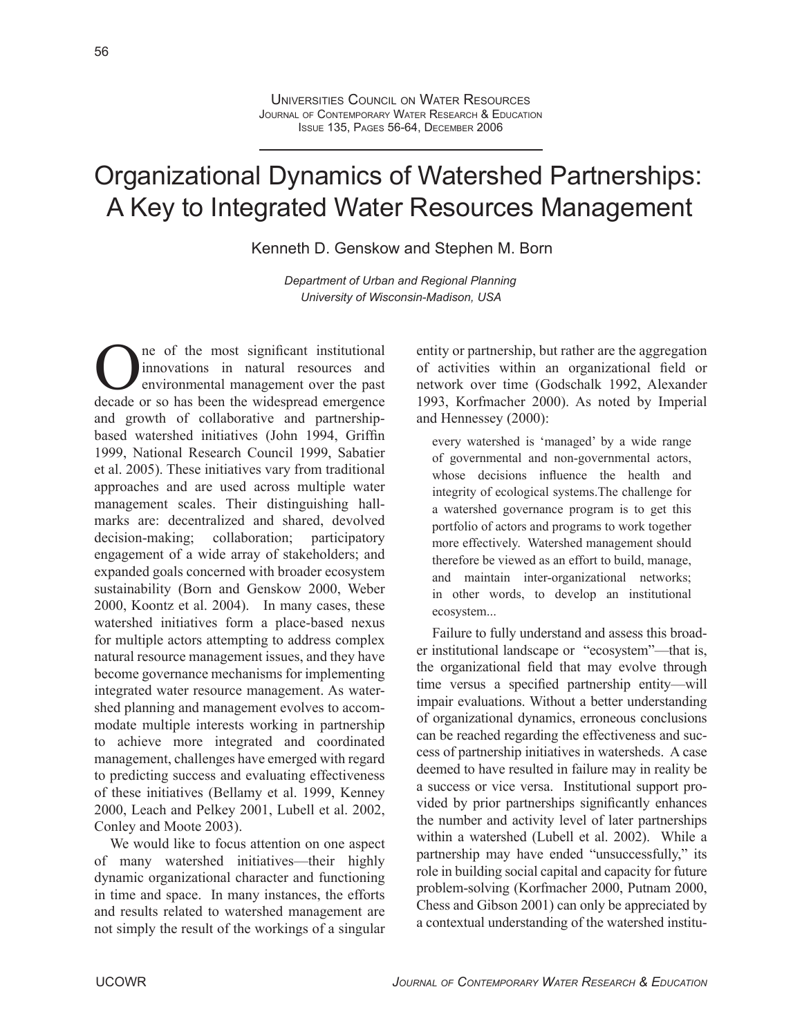# Organizational Dynamics of Watershed Partnerships: A Key to Integrated Water Resources Management

Kenneth D. Genskow and Stephen M. Born

 *Department of Urban and Regional Planning University of Wisconsin-Madison, USA*

ne of the most significant institutional innovations in natural resources and environmental management over the past decade or so has been the widespread emergence and growth of collaborative and partnershipbased watershed initiatives (John 1994, Griffin 1999, National Research Council 1999, Sabatier et al. 2005). These initiatives vary from traditional approaches and are used across multiple water management scales. Their distinguishing hallmarks are: decentralized and shared, devolved decision-making; collaboration; participatory engagement of a wide array of stakeholders; and expanded goals concerned with broader ecosystem sustainability (Born and Genskow 2000, Weber 2000, Koontz et al. 2004). In many cases, these watershed initiatives form a place-based nexus for multiple actors attempting to address complex natural resource management issues, and they have become governance mechanisms for implementing integrated water resource management. As watershed planning and management evolves to accommodate multiple interests working in partnership to achieve more integrated and coordinated management, challenges have emerged with regard to predicting success and evaluating effectiveness of these initiatives (Bellamy et al. 1999, Kenney 2000, Leach and Pelkey 2001, Lubell et al. 2002, Conley and Moote 2003).

We would like to focus attention on one aspect of many watershed initiatives—their highly dynamic organizational character and functioning in time and space. In many instances, the efforts and results related to watershed management are not simply the result of the workings of a singular

entity or partnership, but rather are the aggregation of activities within an organizational field or network over time (Godschalk 1992, Alexander 1993, Korfmacher 2000). As noted by Imperial and Hennessey (2000):

every watershed is 'managed' by a wide range of governmental and non-governmental actors, whose decisions influence the health and integrity of ecological systems.The challenge for a watershed governance program is to get this portfolio of actors and programs to work together more effectively. Watershed management should therefore be viewed as an effort to build, manage, and maintain inter-organizational networks; in other words, to develop an institutional ecosystem...

Failure to fully understand and assess this broader institutional landscape or "ecosystem"—that is, the organizational field that may evolve through time versus a specified partnership entity—will impair evaluations. Without a better understanding of organizational dynamics, erroneous conclusions can be reached regarding the effectiveness and success of partnership initiatives in watersheds. A case deemed to have resulted in failure may in reality be a success or vice versa. Institutional support provided by prior partnerships significantly enhances the number and activity level of later partnerships within a watershed (Lubell et al. 2002). While a partnership may have ended "unsuccessfully," its role in building social capital and capacity for future problem-solving (Korfmacher 2000, Putnam 2000, Chess and Gibson 2001) can only be appreciated by a contextual understanding of the watershed institu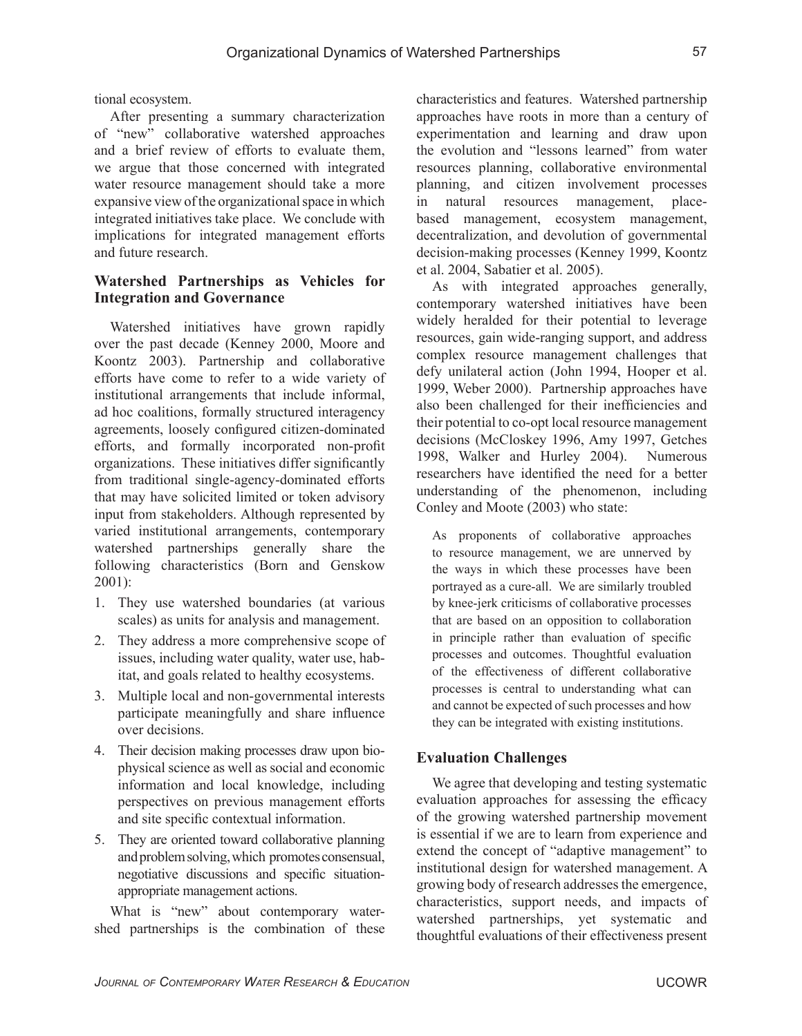tional ecosystem.

After presenting a summary characterization of "new" collaborative watershed approaches and a brief review of efforts to evaluate them, we argue that those concerned with integrated water resource management should take a more expansive view of the organizational space in which integrated initiatives take place. We conclude with implications for integrated management efforts and future research.

## **Watershed Partnerships as Vehicles for Integration and Governance**

Watershed initiatives have grown rapidly over the past decade (Kenney 2000, Moore and Koontz 2003). Partnership and collaborative efforts have come to refer to a wide variety of institutional arrangements that include informal, ad hoc coalitions, formally structured interagency agreements, loosely configured citizen-dominated efforts, and formally incorporated non-profit organizations. These initiatives differ significantly from traditional single-agency-dominated efforts that may have solicited limited or token advisory input from stakeholders. Although represented by varied institutional arrangements, contemporary watershed partnerships generally share the following characteristics (Born and Genskow 2001):

- 1. They use watershed boundaries (at various scales) as units for analysis and management.
- They address a more comprehensive scope of 2. issues, including water quality, water use, habitat, and goals related to healthy ecosystems.
- Multiple local and non-governmental interests 3. participate meaningfully and share influence over decisions.
- Their decision making processes draw upon bio-4. physical science as well as social and economic information and local knowledge, including perspectives on previous management efforts and site specific contextual information.
- 5. They are oriented toward collaborative planning and problem solving, which promotes consensual, negotiative discussions and specific situationappropriate management actions.

What is "new" about contemporary watershed partnerships is the combination of these characteristics and features. Watershed partnership approaches have roots in more than a century of experimentation and learning and draw upon the evolution and "lessons learned" from water resources planning, collaborative environmental planning, and citizen involvement processes in natural resources management, placebased management, ecosystem management, decentralization, and devolution of governmental decision-making processes (Kenney 1999, Koontz et al. 2004, Sabatier et al. 2005).

As with integrated approaches generally, contemporary watershed initiatives have been widely heralded for their potential to leverage resources, gain wide-ranging support, and address complex resource management challenges that defy unilateral action (John 1994, Hooper et al. 1999, Weber 2000). Partnership approaches have also been challenged for their inefficiencies and their potential to co-opt local resource management decisions (McCloskey 1996, Amy 1997, Getches 1998, Walker and Hurley 2004). Numerous researchers have identified the need for a better understanding of the phenomenon, including Conley and Moote (2003) who state:

As proponents of collaborative approaches to resource management, we are unnerved by the ways in which these processes have been portrayed as a cure-all. We are similarly troubled by knee-jerk criticisms of collaborative processes that are based on an opposition to collaboration in principle rather than evaluation of specific processes and outcomes. Thoughtful evaluation of the effectiveness of different collaborative processes is central to understanding what can and cannot be expected of such processes and how they can be integrated with existing institutions.

## **Evaluation Challenges**

We agree that developing and testing systematic evaluation approaches for assessing the efficacy of the growing watershed partnership movement is essential if we are to learn from experience and extend the concept of "adaptive management" to institutional design for watershed management. A growing body of research addresses the emergence, characteristics, support needs, and impacts of watershed partnerships, yet systematic and thoughtful evaluations of their effectiveness present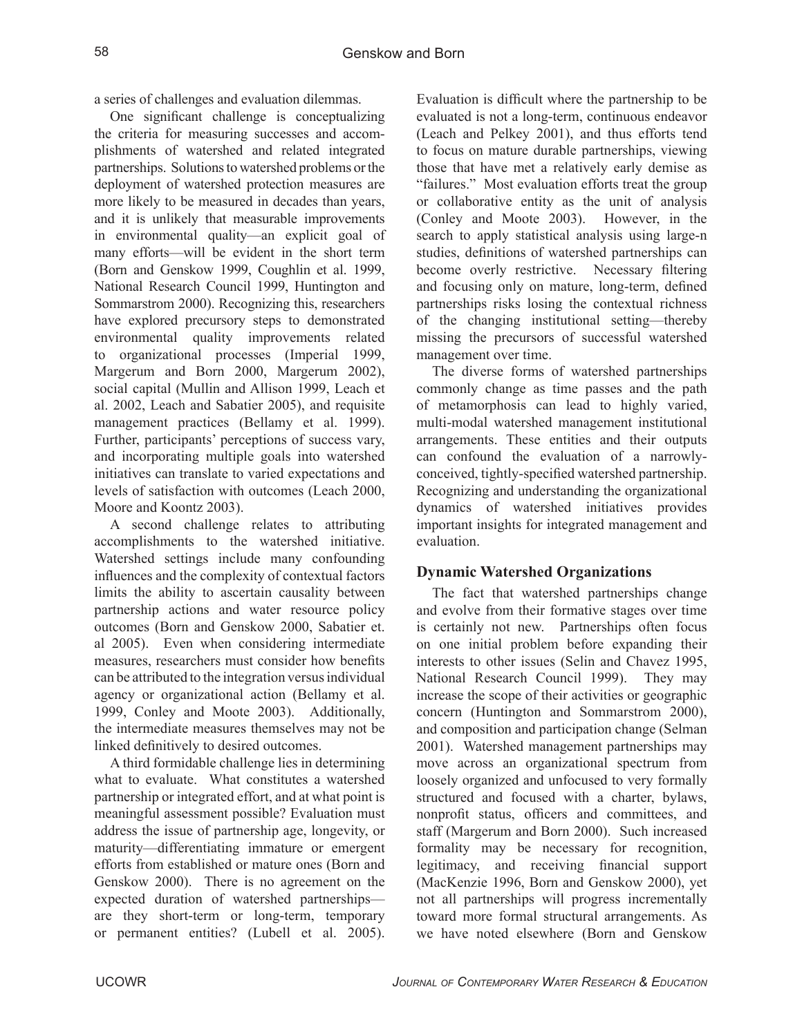a series of challenges and evaluation dilemmas.

One significant challenge is conceptualizing the criteria for measuring successes and accomplishments of watershed and related integrated partnerships. Solutions to watershed problems or the deployment of watershed protection measures are more likely to be measured in decades than years, and it is unlikely that measurable improvements in environmental quality—an explicit goal of many efforts—will be evident in the short term (Born and Genskow 1999, Coughlin et al. 1999, National Research Council 1999, Huntington and Sommarstrom 2000). Recognizing this, researchers have explored precursory steps to demonstrated environmental quality improvements related to organizational processes (Imperial 1999, Margerum and Born 2000, Margerum 2002), social capital (Mullin and Allison 1999, Leach et al. 2002, Leach and Sabatier 2005), and requisite management practices (Bellamy et al. 1999). Further, participants' perceptions of success vary, and incorporating multiple goals into watershed initiatives can translate to varied expectations and levels of satisfaction with outcomes (Leach 2000, Moore and Koontz 2003).

A second challenge relates to attributing accomplishments to the watershed initiative. Watershed settings include many confounding influences and the complexity of contextual factors limits the ability to ascertain causality between partnership actions and water resource policy outcomes (Born and Genskow 2000, Sabatier et. al 2005). Even when considering intermediate measures, researchers must consider how benefits can be attributed to the integration versus individual agency or organizational action (Bellamy et al. 1999, Conley and Moote 2003). Additionally, the intermediate measures themselves may not be linked definitively to desired outcomes.

A third formidable challenge lies in determining what to evaluate. What constitutes a watershed partnership or integrated effort, and at what point is meaningful assessment possible? Evaluation must address the issue of partnership age, longevity, or maturity—differentiating immature or emergent efforts from established or mature ones (Born and Genskow 2000). There is no agreement on the expected duration of watershed partnerships are they short-term or long-term, temporary or permanent entities? (Lubell et al. 2005).

Evaluation is difficult where the partnership to be evaluated is not a long-term, continuous endeavor (Leach and Pelkey 2001), and thus efforts tend to focus on mature durable partnerships, viewing those that have met a relatively early demise as "failures." Most evaluation efforts treat the group or collaborative entity as the unit of analysis (Conley and Moote 2003). However, in the search to apply statistical analysis using large-n studies, definitions of watershed partnerships can become overly restrictive. Necessary filtering and focusing only on mature, long-term, defined partnerships risks losing the contextual richness of the changing institutional setting—thereby missing the precursors of successful watershed management over time.

The diverse forms of watershed partnerships commonly change as time passes and the path of metamorphosis can lead to highly varied, multi-modal watershed management institutional arrangements. These entities and their outputs can confound the evaluation of a narrowlyconceived, tightly-specified watershed partnership. Recognizing and understanding the organizational dynamics of watershed initiatives provides important insights for integrated management and evaluation.

#### **Dynamic Watershed Organizations**

The fact that watershed partnerships change and evolve from their formative stages over time is certainly not new. Partnerships often focus on one initial problem before expanding their interests to other issues (Selin and Chavez 1995, National Research Council 1999). They may increase the scope of their activities or geographic concern (Huntington and Sommarstrom 2000), and composition and participation change (Selman 2001). Watershed management partnerships may move across an organizational spectrum from loosely organized and unfocused to very formally structured and focused with a charter, bylaws, nonprofit status, officers and committees, and staff (Margerum and Born 2000). Such increased formality may be necessary for recognition, legitimacy, and receiving financial support (MacKenzie 1996, Born and Genskow 2000), yet not all partnerships will progress incrementally toward more formal structural arrangements. As we have noted elsewhere (Born and Genskow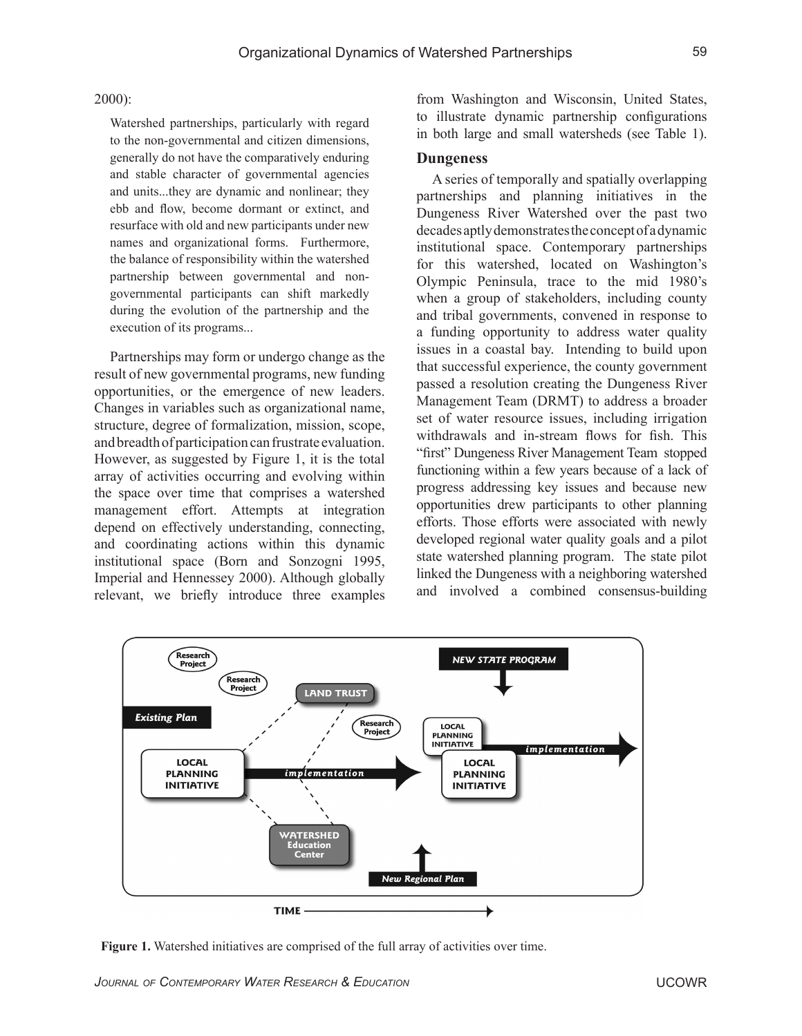#### 2000):

Watershed partnerships, particularly with regard to the non-governmental and citizen dimensions, generally do not have the comparatively enduring and stable character of governmental agencies and units...they are dynamic and nonlinear; they ebb and flow, become dormant or extinct, and resurface with old and new participants under new names and organizational forms. Furthermore, the balance of responsibility within the watershed partnership between governmental and nongovernmental participants can shift markedly during the evolution of the partnership and the execution of its programs...

Partnerships may form or undergo change as the result of new governmental programs, new funding opportunities, or the emergence of new leaders. Changes in variables such as organizational name, structure, degree of formalization, mission, scope, and breadth of participation can frustrate evaluation. However, as suggested by Figure 1, it is the total array of activities occurring and evolving within the space over time that comprises a watershed management effort. Attempts at integration depend on effectively understanding, connecting, and coordinating actions within this dynamic institutional space (Born and Sonzogni 1995, Imperial and Hennessey 2000). Although globally relevant, we briefly introduce three examples from Washington and Wisconsin, United States, to illustrate dynamic partnership configurations in both large and small watersheds (see Table 1).

#### **Dungeness**

A series of temporally and spatially overlapping partnerships and planning initiatives in the Dungeness River Watershed over the past two decades aptly demonstrates the concept of a dynamic institutional space. Contemporary partnerships for this watershed, located on Washington's Olympic Peninsula, trace to the mid 1980's when a group of stakeholders, including county and tribal governments, convened in response to a funding opportunity to address water quality issues in a coastal bay. Intending to build upon that successful experience, the county government passed a resolution creating the Dungeness River Management Team (DRMT) to address a broader set of water resource issues, including irrigation withdrawals and in-stream flows for fish. This "first" Dungeness River Management Team stopped functioning within a few years because of a lack of progress addressing key issues and because new opportunities drew participants to other planning efforts. Those efforts were associated with newly developed regional water quality goals and a pilot state watershed planning program. The state pilot linked the Dungeness with a neighboring watershed and involved a combined consensus-building



**Figure 1.** Watershed initiatives are comprised of the full array of activities over time.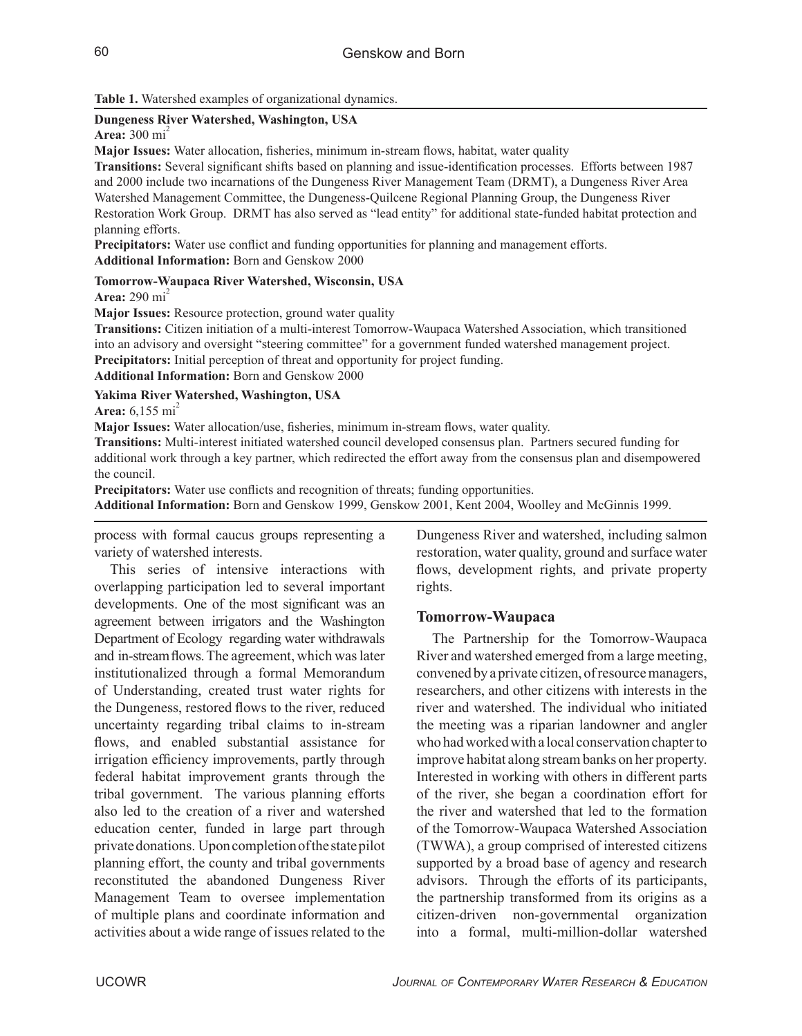**Table 1.** Watershed examples of organizational dynamics.

#### **Dungeness River Watershed, Washington, USA**

#### **Area:** 300 mi<sup>2</sup>

**Major Issues:** Water allocation, fisheries, minimum in-stream flows, habitat, water quality

**Transitions:** Several significant shifts based on planning and issue-identification processes. Efforts between 1987 and 2000 include two incarnations of the Dungeness River Management Team (DRMT), a Dungeness River Area Watershed Management Committee, the Dungeness-Quilcene Regional Planning Group, the Dungeness River Restoration Work Group. DRMT has also served as "lead entity" for additional state-funded habitat protection and planning efforts.

**Precipitators:** Water use conflict and funding opportunities for planning and management efforts. **Additional Information:** Born and Genskow 2000

**Tomorrow-Waupaca River Watershed, Wisconsin, USA Area:** 290 mi<sup>2</sup>

**Major Issues:** Resource protection, ground water quality

**Transitions:** Citizen initiation of a multi-interest Tomorrow-Waupaca Watershed Association, which transitioned into an advisory and oversight "steering committee" for a government funded watershed management project. **Precipitators:** Initial perception of threat and opportunity for project funding.

**Additional Information:** Born and Genskow 2000

**Yakima River Watershed, Washington, USA**

**Area:** 6,155 mi<sup>2</sup>

**Major Issues:** Water allocation/use, fisheries, minimum in-stream flows, water quality.

**Transitions:** Multi-interest initiated watershed council developed consensus plan. Partners secured funding for additional work through a key partner, which redirected the effort away from the consensus plan and disempowered the council.

Precipitators: Water use conflicts and recognition of threats; funding opportunities. **Additional Information:** Born and Genskow 1999, Genskow 2001, Kent 2004, Woolley and McGinnis 1999.

process with formal caucus groups representing a variety of watershed interests.

This series of intensive interactions with overlapping participation led to several important developments. One of the most significant was an agreement between irrigators and the Washington Department of Ecology regarding water withdrawals and in-stream flows. The agreement, which was later institutionalized through a formal Memorandum of Understanding, created trust water rights for the Dungeness, restored flows to the river, reduced uncertainty regarding tribal claims to in-stream flows, and enabled substantial assistance for irrigation efficiency improvements, partly through federal habitat improvement grants through the tribal government. The various planning efforts also led to the creation of a river and watershed education center, funded in large part through private donations. Upon completion of the state pilot planning effort, the county and tribal governments reconstituted the abandoned Dungeness River Management Team to oversee implementation of multiple plans and coordinate information and activities about a wide range of issues related to the

Dungeness River and watershed, including salmon restoration, water quality, ground and surface water flows, development rights, and private property rights.

## **Tomorrow-Waupaca**

The Partnership for the Tomorrow-Waupaca River and watershed emerged from a large meeting, convened by a private citizen, of resource managers, researchers, and other citizens with interests in the river and watershed. The individual who initiated the meeting was a riparian landowner and angler who had worked with a local conservation chapter to improve habitat along stream banks on her property. Interested in working with others in different parts of the river, she began a coordination effort for the river and watershed that led to the formation of the Tomorrow-Waupaca Watershed Association (TWWA), a group comprised of interested citizens supported by a broad base of agency and research advisors. Through the efforts of its participants, the partnership transformed from its origins as a citizen-driven non-governmental organization into a formal, multi-million-dollar watershed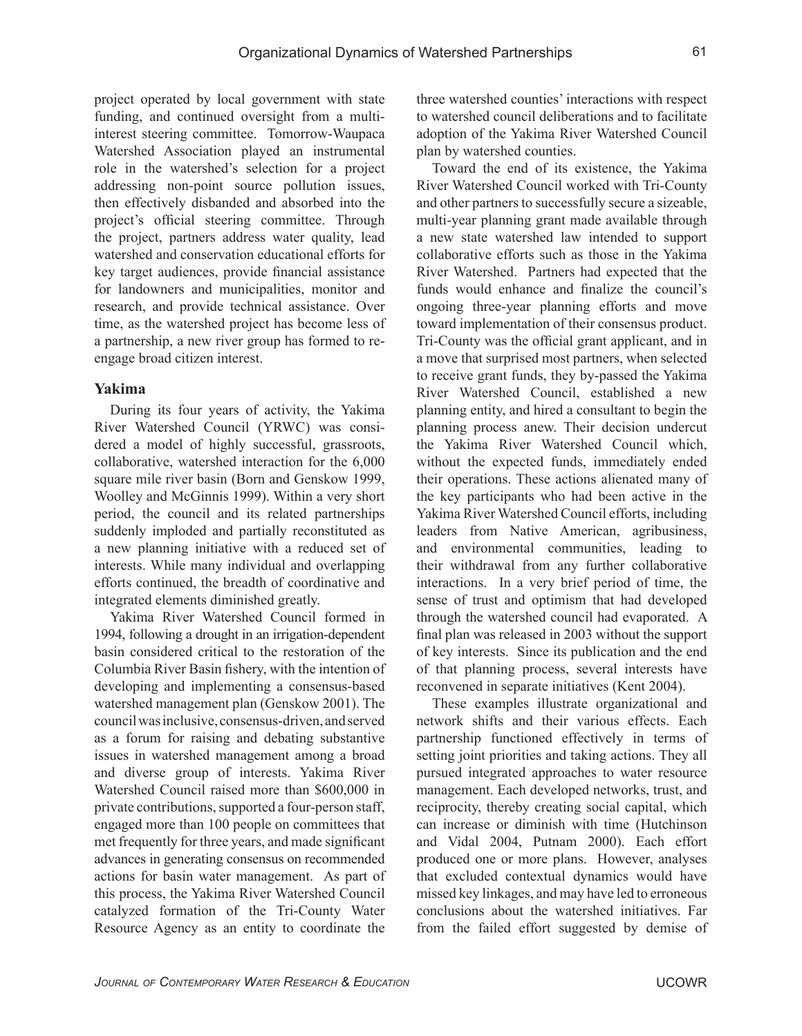project operated by local government with state funding, and continued oversight from a multiinterest steering committee. Tomorrow-Waupaca Watershed Association played an instrumental role in the watershed's selection for a project addressing non-point source pollution issues, then effectively disbanded and absorbed into the project's official steering committee. Through the project, partners address water quality, lead watershed and conservation educational efforts for key target audiences, provide financial assistance for landowners and municipalities, monitor and research, and provide technical assistance. Over time, as the watershed project has become less of a partnership, a new river group has formed to reengage broad citizen interest.

## **Yakima**

During its four years of activity, the Yakima River Watershed Council (YRWC) was considered a model of highly successful, grassroots, collaborative, watershed interaction for the 6,000 square mile river basin (Born and Genskow 1999, Woolley and McGinnis 1999). Within a very short period, the council and its related partnerships suddenly imploded and partially reconstituted as a new planning initiative with a reduced set of interests. While many individual and overlapping efforts continued, the breadth of coordinative and integrated elements diminished greatly.

Yakima River Watershed Council formed in 1994, following a drought in an irrigation-dependent basin considered critical to the restoration of the Columbia River Basin fishery, with the intention of developing and implementing a consensus-based watershed management plan (Genskow 2001). The council was inclusive, consensus-driven, and served as a forum for raising and debating substantive issues in watershed management among a broad and diverse group of interests. Yakima River Watershed Council raised more than \$600,000 in private contributions, supported a four-person staff, engaged more than 100 people on committees that met frequently for three years, and made significant advances in generating consensus on recommended actions for basin water management. As part of this process, the Yakima River Watershed Council catalyzed formation of the Tri-County Water Resource Agency as an entity to coordinate the three watershed counties' interactions with respect to watershed council deliberations and to facilitate adoption of the Yakima River Watershed Council plan by watershed counties.

Toward the end of its existence, the Yakima River Watershed Council worked with Tri-County and other partners to successfully secure a sizeable, multi-year planning grant made available through a new state watershed law intended to support collaborative efforts such as those in the Yakima River Watershed. Partners had expected that the funds would enhance and finalize the council's ongoing three-year planning efforts and move toward implementation of their consensus product. Tri-County was the official grant applicant, and in a move that surprised most partners, when selected to receive grant funds, they by-passed the Yakima River Watershed Council, established a new planning entity, and hired a consultant to begin the planning process anew. Their decision undercut the Yakima River Watershed Council which, without the expected funds, immediately ended their operations. These actions alienated many of the key participants who had been active in the Yakima River Watershed Council efforts, including leaders from Native American, agribusiness, and environmental communities, leading to their withdrawal from any further collaborative interactions. In a very brief period of time, the sense of trust and optimism that had developed through the watershed council had evaporated. A final plan was released in 2003 without the support of key interests. Since its publication and the end of that planning process, several interests have reconvened in separate initiatives (Kent 2004).

These examples illustrate organizational and network shifts and their various effects. Each partnership functioned effectively in terms of setting joint priorities and taking actions. They all pursued integrated approaches to water resource management. Each developed networks, trust, and reciprocity, thereby creating social capital, which can increase or diminish with time (Hutchinson and Vidal 2004, Putnam 2000). Each effort produced one or more plans. However, analyses that excluded contextual dynamics would have missed key linkages, and may have led to erroneous conclusions about the watershed initiatives. Far from the failed effort suggested by demise of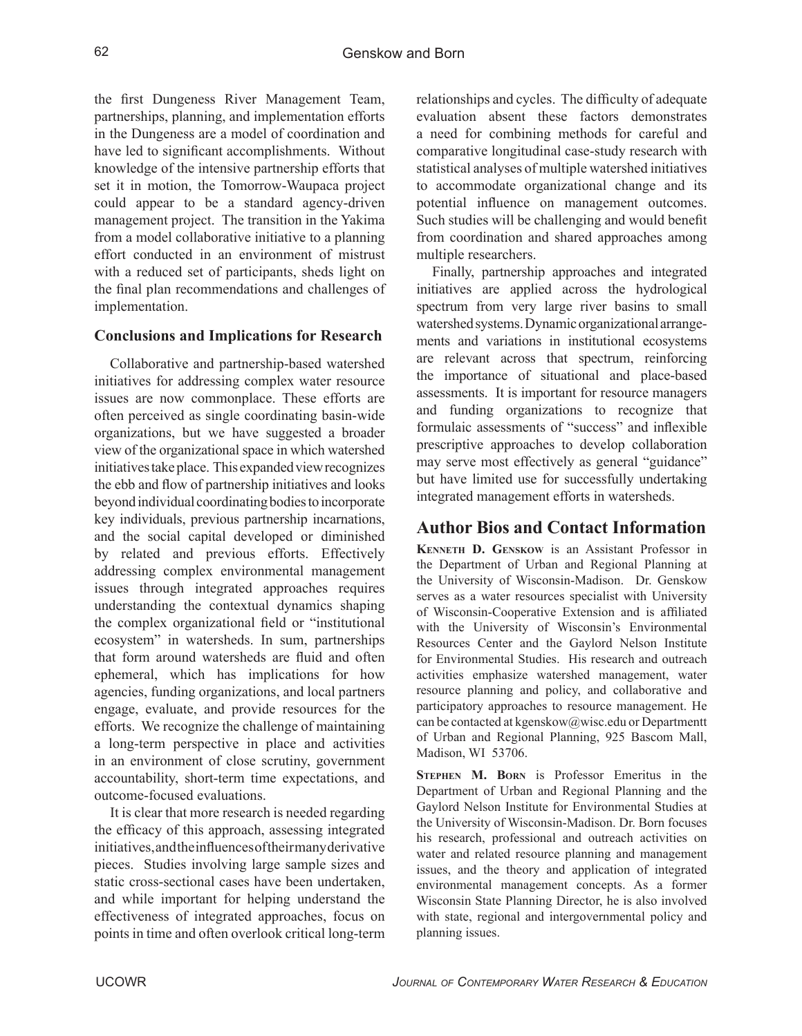the first Dungeness River Management Team, partnerships, planning, and implementation efforts in the Dungeness are a model of coordination and have led to significant accomplishments. Without knowledge of the intensive partnership efforts that set it in motion, the Tomorrow-Waupaca project could appear to be a standard agency-driven management project. The transition in the Yakima from a model collaborative initiative to a planning effort conducted in an environment of mistrust with a reduced set of participants, sheds light on the final plan recommendations and challenges of implementation.

### **Conclusions and Implications for Research**

Collaborative and partnership-based watershed initiatives for addressing complex water resource issues are now commonplace. These efforts are often perceived as single coordinating basin-wide organizations, but we have suggested a broader view of the organizational space in which watershed initiatives take place. This expanded view recognizes the ebb and flow of partnership initiatives and looks beyond individual coordinating bodies to incorporate key individuals, previous partnership incarnations, and the social capital developed or diminished by related and previous efforts. Effectively addressing complex environmental management issues through integrated approaches requires understanding the contextual dynamics shaping the complex organizational field or "institutional ecosystem" in watersheds. In sum, partnerships that form around watersheds are fluid and often ephemeral, which has implications for how agencies, funding organizations, and local partners engage, evaluate, and provide resources for the efforts. We recognize the challenge of maintaining a long-term perspective in place and activities in an environment of close scrutiny, government accountability, short-term time expectations, and outcome-focused evaluations.

It is clear that more research is needed regarding the efficacy of this approach, assessing integrated initiatives, and the influences of their many derivative pieces. Studies involving large sample sizes and static cross-sectional cases have been undertaken, and while important for helping understand the effectiveness of integrated approaches, focus on points in time and often overlook critical long-term

relationships and cycles. The difficulty of adequate evaluation absent these factors demonstrates a need for combining methods for careful and comparative longitudinal case-study research with statistical analyses of multiple watershed initiatives to accommodate organizational change and its potential influence on management outcomes. Such studies will be challenging and would benefit from coordination and shared approaches among multiple researchers.

Finally, partnership approaches and integrated initiatives are applied across the hydrological spectrum from very large river basins to small watershed systems. Dynamic organizational arrangements and variations in institutional ecosystems are relevant across that spectrum, reinforcing the importance of situational and place-based assessments. It is important for resource managers and funding organizations to recognize that formulaic assessments of "success" and inflexible prescriptive approaches to develop collaboration may serve most effectively as general "guidance" but have limited use for successfully undertaking integrated management efforts in watersheds.

## **Author Bios and Contact Information**

**Kenneth D. Genskow** is an Assistant Professor in the Department of Urban and Regional Planning at the University of Wisconsin-Madison. Dr. Genskow serves as a water resources specialist with University of Wisconsin-Cooperative Extension and is affiliated with the University of Wisconsin's Environmental Resources Center and the Gaylord Nelson Institute for Environmental Studies. His research and outreach activities emphasize watershed management, water resource planning and policy, and collaborative and participatory approaches to resource management. He can be contacted at kgenskow@wisc.edu or Departmentt of Urban and Regional Planning, 925 Bascom Mall, Madison, WI 53706.

**Stephen M. Born** is Professor Emeritus in the Department of Urban and Regional Planning and the Gaylord Nelson Institute for Environmental Studies at the University of Wisconsin-Madison. Dr. Born focuses his research, professional and outreach activities on water and related resource planning and management issues, and the theory and application of integrated environmental management concepts. As a former Wisconsin State Planning Director, he is also involved with state, regional and intergovernmental policy and planning issues.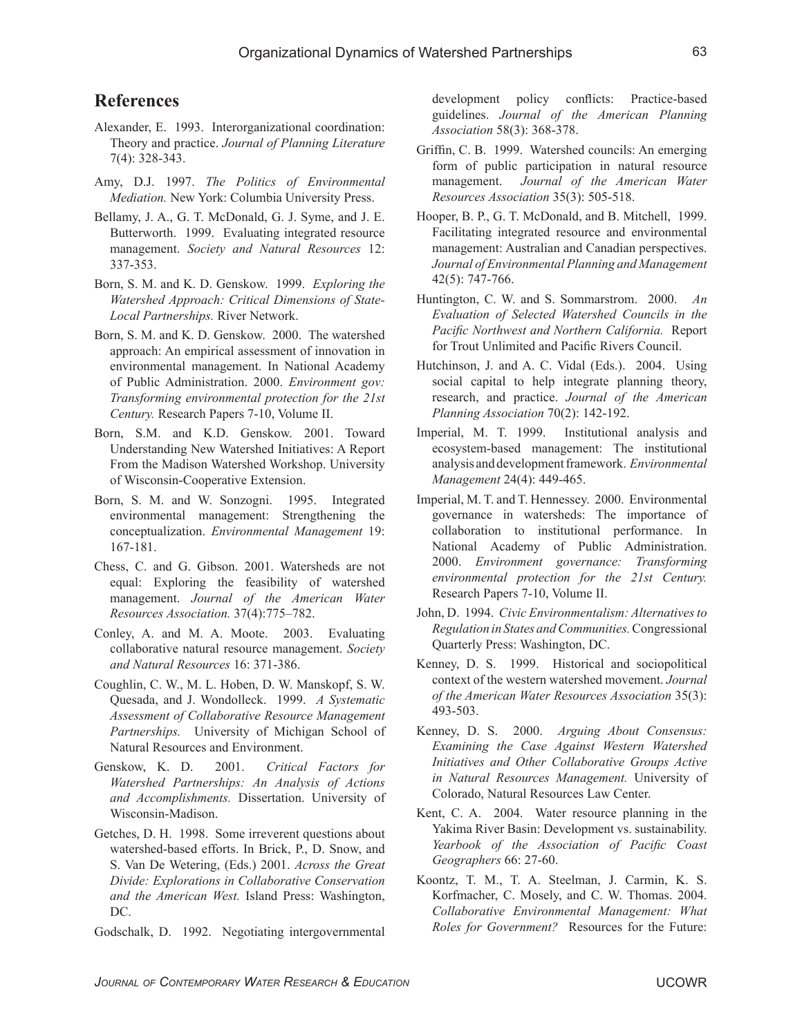## **References**

- Alexander, E. 1993. Interorganizational coordination: Theory and practice. *Journal of Planning Literature*  7(4): 328-343.
- Amy, D.J. 1997. *The Politics of Environmental Mediation.* New York: Columbia University Press.
- Bellamy, J. A., G. T. McDonald, G. J. Syme, and J. E. Butterworth. 1999. Evaluating integrated resource management. *Society and Natural Resources* 12: 337-353.
- Born, S. M. and K. D. Genskow. 1999. *Exploring the Watershed Approach: Critical Dimensions of State-Local Partnerships.* River Network.
- Born, S. M. and K. D. Genskow. 2000. The watershed approach: An empirical assessment of innovation in environmental management. In National Academy of Public Administration. 2000. *Environment gov: Transforming environmental protection for the 21st Century.* Research Papers 7-10, Volume II.
- Born, S.M. and K.D. Genskow. 2001. Toward Understanding New Watershed Initiatives: A Report From the Madison Watershed Workshop. University of Wisconsin-Cooperative Extension.
- Born, S. M. and W. Sonzogni. 1995. Integrated environmental management: Strengthening the conceptualization. *Environmental Management* 19: 167-181.
- Chess, C. and G. Gibson. 2001. Watersheds are not equal: Exploring the feasibility of watershed management. *Journal of the American Water Resources Association.* 37(4):775–782.
- Conley, A. and M. A. Moote. 2003. Evaluating collaborative natural resource management. *Society and Natural Resources* 16: 371-386.
- Coughlin, C. W., M. L. Hoben, D. W. Manskopf, S. W. Quesada, and J. Wondolleck. 1999. *A Systematic Assessment of Collaborative Resource Management Partnerships.* University of Michigan School of Natural Resources and Environment.
- Genskow, K. D. 2001. *Critical Factors for Watershed Partnerships: An Analysis of Actions and Accomplishments.* Dissertation. University of Wisconsin-Madison.
- Getches, D. H. 1998. Some irreverent questions about watershed-based efforts. In Brick, P., D. Snow, and S. Van De Wetering, (Eds.) 2001. *Across the Great Divide: Explorations in Collaborative Conservation and the American West.* Island Press: Washington, DC.
- Godschalk, D. 1992. Negotiating intergovernmental

development policy conflicts: Practice-based guidelines. *Journal of the American Planning Association* 58(3): 368-378.

- Griffin, C. B. 1999. Watershed councils: An emerging form of public participation in natural resource management. *Journal of the American Water Resources Association* 35(3): 505-518.
- Hooper, B. P., G. T. McDonald, and B. Mitchell, 1999. Facilitating integrated resource and environmental management: Australian and Canadian perspectives. *Journal of Environmental Planning and Management*  42(5): 747-766.
- Huntington, C. W. and S. Sommarstrom. 2000. *An Evaluation of Selected Watershed Councils in the Pacific Northwest and Northern California.* Report for Trout Unlimited and Pacific Rivers Council.
- Hutchinson, J. and A. C. Vidal (Eds.). 2004. Using social capital to help integrate planning theory, research, and practice. *Journal of the American Planning Association* 70(2): 142-192.
- Imperial, M. T. 1999. Institutional analysis and ecosystem-based management: The institutional analysis and development framework. *Environmental Management* 24(4): 449-465.
- Imperial, M. T. and T. Hennessey. 2000. Environmental governance in watersheds: The importance of collaboration to institutional performance. In National Academy of Public Administration. 2000. *Environment governance: Transforming environmental protection for the 21st Century.* Research Papers 7-10, Volume II.
- John, D. 1994. *Civic Environmentalism: Alternatives to Regulation in States and Communities.* Congressional Quarterly Press: Washington, DC.
- Kenney, D. S. 1999. Historical and sociopolitical context of the western watershed movement. *Journal of the American Water Resources Association* 35(3): 493-503.
- Kenney, D. S. 2000. *Arguing About Consensus: Examining the Case Against Western Watershed Initiatives and Other Collaborative Groups Active in Natural Resources Management.* University of Colorado, Natural Resources Law Center.
- Kent, C. A. 2004. Water resource planning in the Yakima River Basin: Development vs. sustainability. *Yearbook of the Association of Pacific Coast Geographers* 66: 27-60.
- Koontz, T. M., T. A. Steelman, J. Carmin, K. S. Korfmacher, C. Mosely, and C. W. Thomas. 2004. *Collaborative Environmental Management: What Roles for Government?* Resources for the Future: